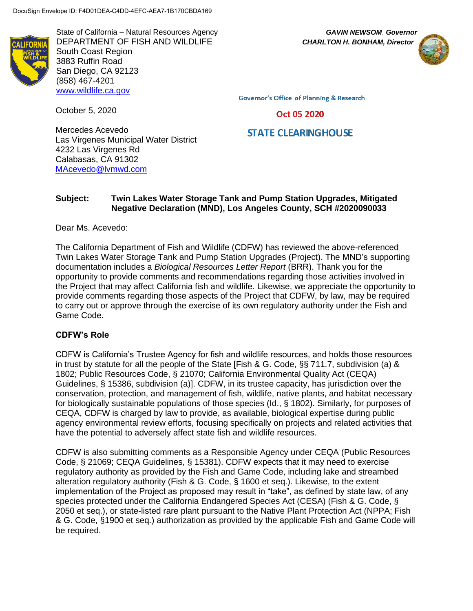State of California – Natural Resources Agency *GAVIN NEWSOM*, *Governor* DEPARTMENT OF FISH AND WILDLIFE *CHARLTON H. BONHAM, Director* South Coast Region 3883 Ruffin Road San Diego, CA 92123 (858) 467-4201 [www.wildlife.ca.gov](http://www.wildlife.ca.gov/)



**Governor's Office of Planning & Research** 

Oct 05 2020

# **STATE CLEARINGHOUSE**

Mercedes Acevedo Las Virgenes Municipal Water District 4232 Las Virgenes Rd Calabasas, CA 91302 [MAcevedo@lvmwd.com](mailto:MAcevedo@lvmwd.com)

# **Subject: Twin Lakes Water Storage Tank and Pump Station Upgrades, Mitigated Negative Declaration (MND), Los Angeles County, SCH #2020090033**

Dear Ms. Acevedo:

October 5, 2020

The California Department of Fish and Wildlife (CDFW) has reviewed the above-referenced Twin Lakes Water Storage Tank and Pump Station Upgrades (Project). The MND's supporting documentation includes a *Biological Resources Letter Report* (BRR). Thank you for the opportunity to provide comments and recommendations regarding those activities involved in the Project that may affect California fish and wildlife. Likewise, we appreciate the opportunity to provide comments regarding those aspects of the Project that CDFW, by law, may be required to carry out or approve through the exercise of its own regulatory authority under the Fish and Game Code.

# **CDFW's Role**

CDFW is California's Trustee Agency for fish and wildlife resources, and holds those resources in trust by statute for all the people of the State [Fish & G. Code, §§ 711.7, subdivision (a) & 1802; Public Resources Code, § 21070; California Environmental Quality Act (CEQA) Guidelines, § 15386, subdivision (a)]. CDFW, in its trustee capacity, has jurisdiction over the conservation, protection, and management of fish, wildlife, native plants, and habitat necessary for biologically sustainable populations of those species (Id., § 1802). Similarly, for purposes of CEQA, CDFW is charged by law to provide, as available, biological expertise during public agency environmental review efforts, focusing specifically on projects and related activities that have the potential to adversely affect state fish and wildlife resources.

CDFW is also submitting comments as a Responsible Agency under CEQA (Public Resources Code, § 21069; CEQA Guidelines, § 15381). CDFW expects that it may need to exercise regulatory authority as provided by the Fish and Game Code, including lake and streambed alteration regulatory authority (Fish & G. Code, § 1600 et seq.). Likewise, to the extent implementation of the Project as proposed may result in "take", as defined by state law, of any species protected under the California Endangered Species Act (CESA) (Fish & G. Code, § 2050 et seq.), or state-listed rare plant pursuant to the Native Plant Protection Act (NPPA; Fish & G. Code, §1900 et seq.) authorization as provided by the applicable Fish and Game Code will be required.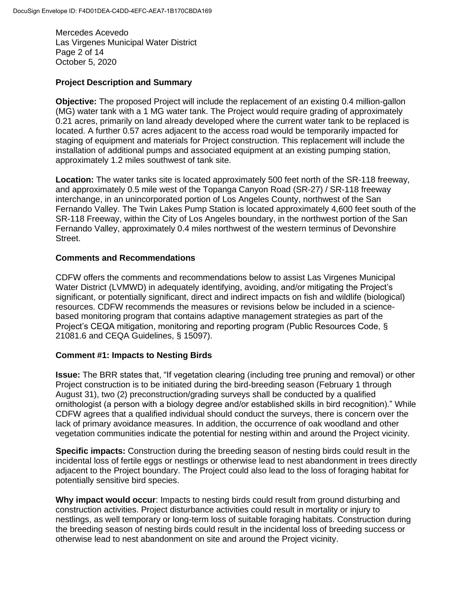Mercedes Acevedo Las Virgenes Municipal Water District Page 2 of 14 October 5, 2020

### **Project Description and Summary**

**Objective:** The proposed Project will include the replacement of an existing 0.4 million-gallon (MG) water tank with a 1 MG water tank. The Project would require grading of approximately 0.21 acres, primarily on land already developed where the current water tank to be replaced is located. A further 0.57 acres adjacent to the access road would be temporarily impacted for staging of equipment and materials for Project construction. This replacement will include the installation of additional pumps and associated equipment at an existing pumping station, approximately 1.2 miles southwest of tank site.

**Location:** The water tanks site is located approximately 500 feet north of the SR-118 freeway, and approximately 0.5 mile west of the Topanga Canyon Road (SR-27) / SR-118 freeway interchange, in an unincorporated portion of Los Angeles County, northwest of the San Fernando Valley. The Twin Lakes Pump Station is located approximately 4,600 feet south of the SR-118 Freeway, within the City of Los Angeles boundary, in the northwest portion of the San Fernando Valley, approximately 0.4 miles northwest of the western terminus of Devonshire Street.

### **Comments and Recommendations**

CDFW offers the comments and recommendations below to assist Las Virgenes Municipal Water District (LVMWD) in adequately identifying, avoiding, and/or mitigating the Project's significant, or potentially significant, direct and indirect impacts on fish and wildlife (biological) resources. CDFW recommends the measures or revisions below be included in a sciencebased monitoring program that contains adaptive management strategies as part of the Project's CEQA mitigation, monitoring and reporting program (Public Resources Code, § 21081.6 and CEQA Guidelines, § 15097).

# **Comment #1: Impacts to Nesting Birds**

**Issue:** The BRR states that, "If vegetation clearing (including tree pruning and removal) or other Project construction is to be initiated during the bird-breeding season (February 1 through August 31), two (2) preconstruction/grading surveys shall be conducted by a qualified ornithologist (a person with a biology degree and/or established skills in bird recognition)." While CDFW agrees that a qualified individual should conduct the surveys, there is concern over the lack of primary avoidance measures. In addition, the occurrence of oak woodland and other vegetation communities indicate the potential for nesting within and around the Project vicinity.

**Specific impacts:** Construction during the breeding season of nesting birds could result in the incidental loss of fertile eggs or nestlings or otherwise lead to nest abandonment in trees directly adjacent to the Project boundary. The Project could also lead to the loss of foraging habitat for potentially sensitive bird species.

**Why impact would occur**: Impacts to nesting birds could result from ground disturbing and construction activities. Project disturbance activities could result in mortality or injury to nestlings, as well temporary or long-term loss of suitable foraging habitats. Construction during the breeding season of nesting birds could result in the incidental loss of breeding success or otherwise lead to nest abandonment on site and around the Project vicinity.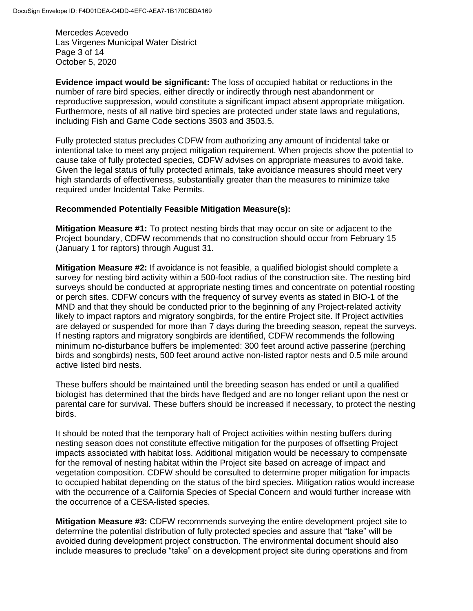Mercedes Acevedo Las Virgenes Municipal Water District Page 3 of 14 October 5, 2020

**Evidence impact would be significant:** The loss of occupied habitat or reductions in the number of rare bird species, either directly or indirectly through nest abandonment or reproductive suppression, would constitute a significant impact absent appropriate mitigation. Furthermore, nests of all native bird species are protected under state laws and regulations, including Fish and Game Code sections 3503 and 3503.5.

Fully protected status precludes CDFW from authorizing any amount of incidental take or intentional take to meet any project mitigation requirement. When projects show the potential to cause take of fully protected species, CDFW advises on appropriate measures to avoid take. Given the legal status of fully protected animals, take avoidance measures should meet very high standards of effectiveness, substantially greater than the measures to minimize take required under Incidental Take Permits.

#### **Recommended Potentially Feasible Mitigation Measure(s):**

**Mitigation Measure #1:** To protect nesting birds that may occur on site or adjacent to the Project boundary, CDFW recommends that no construction should occur from February 15 (January 1 for raptors) through August 31.

**Mitigation Measure #2:** If avoidance is not feasible, a qualified biologist should complete a survey for nesting bird activity within a 500-foot radius of the construction site. The nesting bird surveys should be conducted at appropriate nesting times and concentrate on potential roosting or perch sites. CDFW concurs with the frequency of survey events as stated in BIO-1 of the MND and that they should be conducted prior to the beginning of any Project-related activity likely to impact raptors and migratory songbirds, for the entire Project site. If Project activities are delayed or suspended for more than 7 days during the breeding season, repeat the surveys. If nesting raptors and migratory songbirds are identified, CDFW recommends the following minimum no-disturbance buffers be implemented: 300 feet around active passerine (perching birds and songbirds) nests, 500 feet around active non-listed raptor nests and 0.5 mile around active listed bird nests.

These buffers should be maintained until the breeding season has ended or until a qualified biologist has determined that the birds have fledged and are no longer reliant upon the nest or parental care for survival. These buffers should be increased if necessary, to protect the nesting birds.

It should be noted that the temporary halt of Project activities within nesting buffers during nesting season does not constitute effective mitigation for the purposes of offsetting Project impacts associated with habitat loss. Additional mitigation would be necessary to compensate for the removal of nesting habitat within the Project site based on acreage of impact and vegetation composition. CDFW should be consulted to determine proper mitigation for impacts to occupied habitat depending on the status of the bird species. Mitigation ratios would increase with the occurrence of a California Species of Special Concern and would further increase with the occurrence of a CESA-listed species.

**Mitigation Measure #3:** CDFW recommends surveying the entire development project site to determine the potential distribution of fully protected species and assure that "take" will be avoided during development project construction. The environmental document should also include measures to preclude "take" on a development project site during operations and from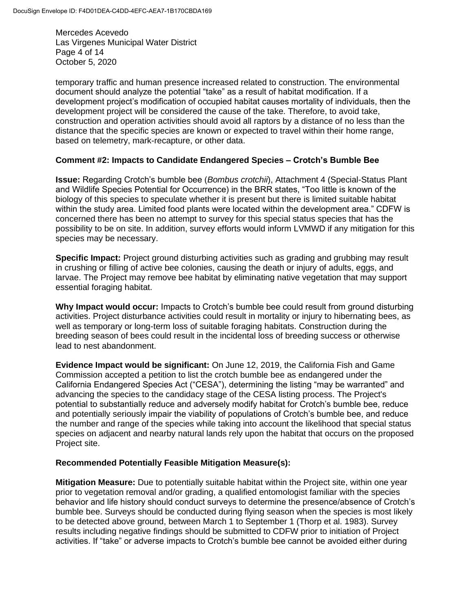Mercedes Acevedo Las Virgenes Municipal Water District Page 4 of 14 October 5, 2020

temporary traffic and human presence increased related to construction. The environmental document should analyze the potential "take" as a result of habitat modification. If a development project's modification of occupied habitat causes mortality of individuals, then the development project will be considered the cause of the take. Therefore, to avoid take, construction and operation activities should avoid all raptors by a distance of no less than the distance that the specific species are known or expected to travel within their home range, based on telemetry, mark-recapture, or other data.

# **Comment #2: Impacts to Candidate Endangered Species – Crotch's Bumble Bee**

**Issue:** Regarding Crotch's bumble bee (*Bombus crotchii*), Attachment 4 (Special-Status Plant and Wildlife Species Potential for Occurrence) in the BRR states, "Too little is known of the biology of this species to speculate whether it is present but there is limited suitable habitat within the study area. Limited food plants were located within the development area." CDFW is concerned there has been no attempt to survey for this special status species that has the possibility to be on site. In addition, survey efforts would inform LVMWD if any mitigation for this species may be necessary.

**Specific Impact:** Project ground disturbing activities such as grading and grubbing may result in crushing or filling of active bee colonies, causing the death or injury of adults, eggs, and larvae. The Project may remove bee habitat by eliminating native vegetation that may support essential foraging habitat.

**Why Impact would occur:** Impacts to Crotch's bumble bee could result from ground disturbing activities. Project disturbance activities could result in mortality or injury to hibernating bees, as well as temporary or long-term loss of suitable foraging habitats. Construction during the breeding season of bees could result in the incidental loss of breeding success or otherwise lead to nest abandonment.

**Evidence Impact would be significant:** On June 12, 2019, the California Fish and Game Commission accepted a petition to list the crotch bumble bee as endangered under the California Endangered Species Act ("CESA"), determining the listing "may be warranted" and advancing the species to the candidacy stage of the CESA listing process. The Project's potential to substantially reduce and adversely modify habitat for Crotch's bumble bee, reduce and potentially seriously impair the viability of populations of Crotch's bumble bee, and reduce the number and range of the species while taking into account the likelihood that special status species on adjacent and nearby natural lands rely upon the habitat that occurs on the proposed Project site.

#### **Recommended Potentially Feasible Mitigation Measure(s):**

**Mitigation Measure:** Due to potentially suitable habitat within the Project site, within one year prior to vegetation removal and/or grading, a qualified entomologist familiar with the species behavior and life history should conduct surveys to determine the presence/absence of Crotch's bumble bee. Surveys should be conducted during flying season when the species is most likely to be detected above ground, between March 1 to September 1 (Thorp et al. 1983). Survey results including negative findings should be submitted to CDFW prior to initiation of Project activities. If "take" or adverse impacts to Crotch's bumble bee cannot be avoided either during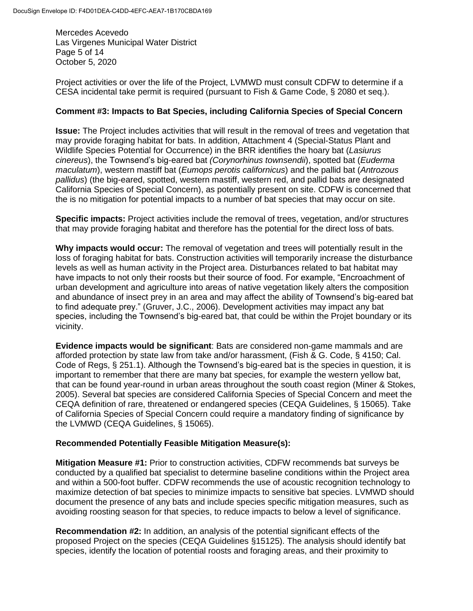Mercedes Acevedo Las Virgenes Municipal Water District Page 5 of 14 October 5, 2020

Project activities or over the life of the Project, LVMWD must consult CDFW to determine if a CESA incidental take permit is required (pursuant to Fish & Game Code, § 2080 et seq.).

### **Comment #3: Impacts to Bat Species, including California Species of Special Concern**

**Issue:** The Project includes activities that will result in the removal of trees and vegetation that may provide foraging habitat for bats. In addition, Attachment 4 (Special-Status Plant and Wildlife Species Potential for Occurrence) in the BRR identifies the hoary bat (*Lasiurus cinereus*), the Townsend's big-eared bat *(Corynorhinus townsendii*), spotted bat (*Euderma maculatum*), western mastiff bat (*Eumops perotis californicus*) and the pallid bat (*Antrozous pallidus*) (the big-eared, spotted, western mastiff, western red, and pallid bats are designated California Species of Special Concern), as potentially present on site. CDFW is concerned that the is no mitigation for potential impacts to a number of bat species that may occur on site.

**Specific impacts:** Project activities include the removal of trees, vegetation, and/or structures that may provide foraging habitat and therefore has the potential for the direct loss of bats.

**Why impacts would occur:** The removal of vegetation and trees will potentially result in the loss of foraging habitat for bats. Construction activities will temporarily increase the disturbance levels as well as human activity in the Project area. Disturbances related to bat habitat may have impacts to not only their roosts but their source of food. For example, "Encroachment of urban development and agriculture into areas of native vegetation likely alters the composition and abundance of insect prey in an area and may affect the ability of Townsend's big-eared bat to find adequate prey." (Gruver, J.C., 2006). Development activities may impact any bat species, including the Townsend's big-eared bat, that could be within the Projet boundary or its vicinity.

**Evidence impacts would be significant**: Bats are considered non-game mammals and are afforded protection by state law from take and/or harassment, (Fish & G. Code, § 4150; Cal. Code of Regs, § 251.1). Although the Townsend's big-eared bat is the species in question, it is important to remember that there are many bat species, for example the western yellow bat, that can be found year-round in urban areas throughout the south coast region (Miner & Stokes, 2005). Several bat species are considered California Species of Special Concern and meet the CEQA definition of rare, threatened or endangered species (CEQA Guidelines, § 15065). Take of California Species of Special Concern could require a mandatory finding of significance by the LVMWD (CEQA Guidelines, § 15065).

# **Recommended Potentially Feasible Mitigation Measure(s):**

**Mitigation Measure #1:** Prior to construction activities, CDFW recommends bat surveys be conducted by a qualified bat specialist to determine baseline conditions within the Project area and within a 500-foot buffer. CDFW recommends the use of acoustic recognition technology to maximize detection of bat species to minimize impacts to sensitive bat species. LVMWD should document the presence of any bats and include species specific mitigation measures, such as avoiding roosting season for that species, to reduce impacts to below a level of significance.

**Recommendation #2:** In addition, an analysis of the potential significant effects of the proposed Project on the species (CEQA Guidelines §15125). The analysis should identify bat species, identify the location of potential roosts and foraging areas, and their proximity to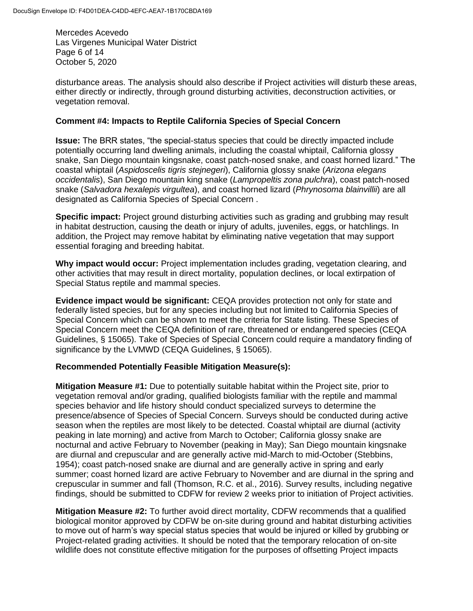Mercedes Acevedo Las Virgenes Municipal Water District Page 6 of 14 October 5, 2020

disturbance areas. The analysis should also describe if Project activities will disturb these areas, either directly or indirectly, through ground disturbing activities, deconstruction activities, or vegetation removal.

### **Comment #4: Impacts to Reptile California Species of Special Concern**

**Issue:** The BRR states, "the special-status species that could be directly impacted include potentially occurring land dwelling animals, including the coastal whiptail, California glossy snake, San Diego mountain kingsnake, coast patch-nosed snake, and coast horned lizard." The coastal whiptail (*Aspidoscelis tigris stejnegeri*), California glossy snake (*Arizona elegans occidentalis*), San Diego mountain king snake (*Lampropeltis zona pulchra*), coast patch-nosed snake (*Salvadora hexalepis virgultea*), and coast horned lizard (*Phrynosoma blainvillii*) are all designated as California Species of Special Concern .

**Specific impact:** Project ground disturbing activities such as grading and grubbing may result in habitat destruction, causing the death or injury of adults, juveniles, eggs, or hatchlings. In addition, the Project may remove habitat by eliminating native vegetation that may support essential foraging and breeding habitat.

**Why impact would occur:** Project implementation includes grading, vegetation clearing, and other activities that may result in direct mortality, population declines, or local extirpation of Special Status reptile and mammal species.

**Evidence impact would be significant:** CEQA provides protection not only for state and federally listed species, but for any species including but not limited to California Species of Special Concern which can be shown to meet the criteria for State listing. These Species of Special Concern meet the CEQA definition of rare, threatened or endangered species (CEQA Guidelines, § 15065). Take of Species of Special Concern could require a mandatory finding of significance by the LVMWD (CEQA Guidelines, § 15065).

# **Recommended Potentially Feasible Mitigation Measure(s):**

**Mitigation Measure #1:** Due to potentially suitable habitat within the Project site, prior to vegetation removal and/or grading, qualified biologists familiar with the reptile and mammal species behavior and life history should conduct specialized surveys to determine the presence/absence of Species of Special Concern. Surveys should be conducted during active season when the reptiles are most likely to be detected. Coastal whiptail are diurnal (activity peaking in late morning) and active from March to October; California glossy snake are nocturnal and active February to November (peaking in May); San Diego mountain kingsnake are diurnal and crepuscular and are generally active mid-March to mid-October (Stebbins, 1954); coast patch-nosed snake are diurnal and are generally active in spring and early summer; coast horned lizard are active February to November and are diurnal in the spring and crepuscular in summer and fall (Thomson, R.C. et al., 2016). Survey results, including negative findings, should be submitted to CDFW for review 2 weeks prior to initiation of Project activities.

**Mitigation Measure #2:** To further avoid direct mortality, CDFW recommends that a qualified biological monitor approved by CDFW be on-site during ground and habitat disturbing activities to move out of harm's way special status species that would be injured or killed by grubbing or Project-related grading activities. It should be noted that the temporary relocation of on-site wildlife does not constitute effective mitigation for the purposes of offsetting Project impacts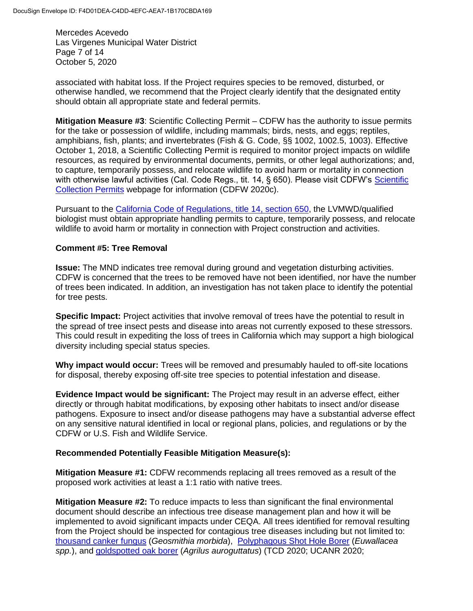Mercedes Acevedo Las Virgenes Municipal Water District Page 7 of 14 October 5, 2020

associated with habitat loss. If the Project requires species to be removed, disturbed, or otherwise handled, we recommend that the Project clearly identify that the designated entity should obtain all appropriate state and federal permits.

**Mitigation Measure #3**: Scientific Collecting Permit – CDFW has the authority to issue permits for the take or possession of wildlife, including mammals; birds, nests, and eggs; reptiles, amphibians, fish, plants; and invertebrates (Fish & G. Code, §§ 1002, 1002.5, 1003). Effective October 1, 2018, a Scientific Collecting Permit is required to monitor project impacts on wildlife resources, as required by environmental documents, permits, or other legal authorizations; and, to capture, temporarily possess, and relocate wildlife to avoid harm or mortality in connection with otherwise lawful activities (Cal. Code Regs., tit. 14, § 650). Please visit CDFW's Scientific [Collection Permits](https://wildlife.ca.gov/Licensing/Scientific-Collecting#53949678) webpage for information (CDFW 2020c).

Pursuant to the [California Code of Regulations, title 14, section 650,](https://nrm.dfg.ca.gov/FileHandler.ashx?DocumentID=161295&inline) the LVMWD/qualified biologist must obtain appropriate handling permits to capture, temporarily possess, and relocate wildlife to avoid harm or mortality in connection with Project construction and activities.

# **Comment #5: Tree Removal**

**Issue:** The MND indicates tree removal during ground and vegetation disturbing activities. CDFW is concerned that the trees to be removed have not been identified, nor have the number of trees been indicated. In addition, an investigation has not taken place to identify the potential for tree pests.

**Specific Impact:** Project activities that involve removal of trees have the potential to result in the spread of tree insect pests and disease into areas not currently exposed to these stressors. This could result in expediting the loss of trees in California which may support a high biological diversity including special status species.

**Why impact would occur:** Trees will be removed and presumably hauled to off-site locations for disposal, thereby exposing off-site tree species to potential infestation and disease.

**Evidence Impact would be significant:** The Project may result in an adverse effect, either directly or through habitat modifications, by exposing other habitats to insect and/or disease pathogens. Exposure to insect and/or disease pathogens may have a substantial adverse effect on any sensitive natural identified in local or regional plans, policies, and regulations or by the CDFW or U.S. Fish and Wildlife Service.

#### **Recommended Potentially Feasible Mitigation Measure(s):**

**Mitigation Measure #1:** CDFW recommends replacing all trees removed as a result of the proposed work activities at least a 1:1 ratio with native trees.

**Mitigation Measure #2:** To reduce impacts to less than significant the final environmental document should describe an infectious tree disease management plan and how it will be implemented to avoid significant impacts under CEQA. All trees identified for removal resulting from the Project should be inspected for contagious tree diseases including but not limited to: [thousand canker fungus](http://www.thousandcankers.com/) (*Geosmithia morbida*), [Polyphagous Shot Hole Borer](https://ucanr.edu/sites/eskalenlab/?file=/avocado.html) (*Euwallacea spp.*), and [goldspotted oak borer](http://ipm.ucanr.edu/PMG/PESTNOTES/pn74163.html) (*Agrilus auroguttatus*) (TCD 2020; UCANR 2020;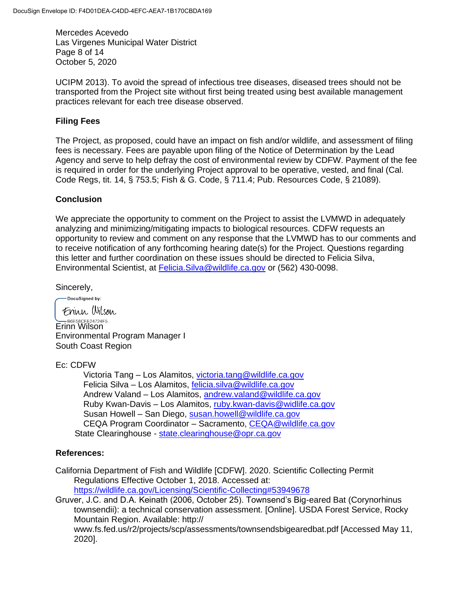Mercedes Acevedo Las Virgenes Municipal Water District Page 8 of 14 October 5, 2020

UCIPM 2013). To avoid the spread of infectious tree diseases, diseased trees should not be transported from the Project site without first being treated using best available management practices relevant for each tree disease observed.

# **Filing Fees**

The Project, as proposed, could have an impact on fish and/or wildlife, and assessment of filing fees is necessary. Fees are payable upon filing of the Notice of Determination by the Lead Agency and serve to help defray the cost of environmental review by CDFW. Payment of the fee is required in order for the underlying Project approval to be operative, vested, and final (Cal. Code Regs, tit. 14, § 753.5; Fish & G. Code, § 711.4; Pub. Resources Code, § 21089).

# **Conclusion**

We appreciate the opportunity to comment on the Project to assist the LVMWD in adequately analyzing and minimizing/mitigating impacts to biological resources. CDFW requests an opportunity to review and comment on any response that the LVMWD has to our comments and to receive notification of any forthcoming hearing date(s) for the Project. Questions regarding this letter and further coordination on these issues should be directed to Felicia Silva, Environmental Scientist, at [Felicia.Silva@wildlife.ca.gov](mailto:Felicia.Silva@wildlife.ca.gov) or (562) 430-0098.

Sincerely,

-DocuSigned by:

Frinn Wilson B6E58CFE24724F5... Environmental Program Manager I South Coast Region

Ec: CDFW

Victoria Tang – Los Alamitos, [victoria.tang@wildlife.ca.gov](file:///C:/Users/VTang/AppData/Local/Microsoft/Windows/INetCache/Content.Outlook/GYQGVRQ8/victoria.tang@wildlife.ca.gov) Felicia Silva – Los Alamitos, [felicia.silva@wildlife.ca.gov](file:///C:/Users/VTang/AppData/Local/Microsoft/Windows/INetCache/Content.Outlook/GYQGVRQ8/felicia.silva@wildlife.ca.gov) Andrew Valand – Los Alamitos, [andrew.valand@wildlife.ca.gov](file:///C:/Users/VTang/AppData/Local/Microsoft/Windows/INetCache/Content.Outlook/GYQGVRQ8/andrew.valand@wildlife.ca.gov) Ruby Kwan-Davis – Los Alamitos, [ruby.kwan-davis@widlife.ca.gov](file:///C:/Users/VTang/AppData/Local/Microsoft/Windows/INetCache/Content.Outlook/GYQGVRQ8/ruby.kwan-davis@widlife.ca.gov) Susan Howell – San Diego, [susan.howell@wildlife.ca.gov](file:///C:/Users/VTang/AppData/Local/Microsoft/Windows/INetCache/Content.Outlook/GYQGVRQ8/susan.howell@wildlife.ca.gov) CEQA Program Coordinator – Sacramento, [CEQA@wildlife.ca.gov](file:///C:/Users/VTang/AppData/Local/Microsoft/Windows/INetCache/Content.Outlook/GYQGVRQ8/CEQA@wildlife.ca.gov) State Clearinghouse - [state.clearinghouse@opr.ca.gov](mailto:state.clearinghouse@opr.ca.gov)

# **References:**

- California Department of Fish and Wildlife [CDFW]. 2020. Scientific Collecting Permit Regulations Effective October 1, 2018. Accessed at: <https://wildlife.ca.gov/Licensing/Scientific-Collecting#53949678>
- Gruver, J.C. and D.A. Keinath (2006, October 25). Townsend's Big-eared Bat (Corynorhinus townsendii): a technical conservation assessment. [Online]. USDA Forest Service, Rocky Mountain Region. Available: http:// www.fs.fed.us/r2/projects/scp/assessments/townsendsbigearedbat.pdf [Accessed May 11, 2020].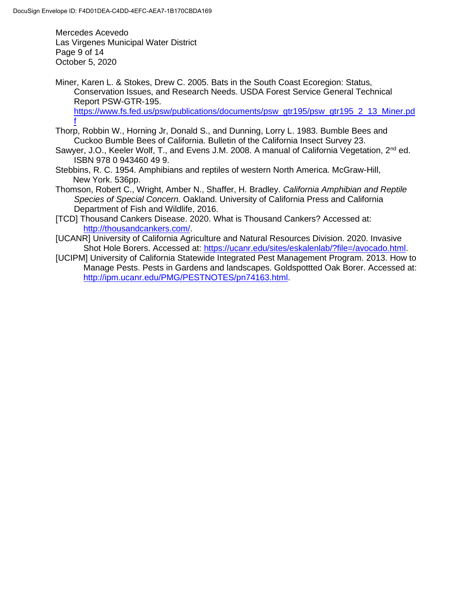Mercedes Acevedo Las Virgenes Municipal Water District Page 9 of 14 October 5, 2020

Miner, Karen L. & Stokes, Drew C. 2005. Bats in the South Coast Ecoregion: Status, Conservation Issues, and Research Needs. USDA Forest Service General Technical Report PSW-GTR-195. [https://www.fs.fed.us/psw/publications/documents/psw\\_gtr195/psw\\_gtr195\\_2\\_13\\_Miner.pd](https://www.fs.fed.us/psw/publications/documents/psw_gtr195/psw_gtr195_2_13_Miner.pdf) [f](https://www.fs.fed.us/psw/publications/documents/psw_gtr195/psw_gtr195_2_13_Miner.pdf)

- Thorp, Robbin W., Horning Jr, Donald S., and Dunning, Lorry L. 1983. Bumble Bees and Cuckoo Bumble Bees of California. Bulletin of the California Insect Survey 23.
- Sawyer, J.O., Keeler Wolf, T., and Evens J.M. 2008. A manual of California Vegetation, 2<sup>nd</sup> ed. ISBN 978 0 943460 49 9.
- Stebbins, R. C. 1954. Amphibians and reptiles of western North America. McGraw-Hill, New York. 536pp.
- Thomson, Robert C., Wright, Amber N., Shaffer, H. Bradley. *California Amphibian and Reptile Species of Special Concern.* Oakland. University of California Press and California Department of Fish and Wildlife, 2016.
- [TCD] Thousand Cankers Disease. 2020. What is Thousand Cankers? Accessed at: [http://thousandcankers.com/.](http://thousandcankers.com/)
- [UCANR] University of California Agriculture and Natural Resources Division. 2020. Invasive Shot Hole Borers. Accessed at: [https://ucanr.edu/sites/eskalenlab/?file=/avocado.html.](https://ucanr.edu/sites/eskalenlab/?file=/avocado.html)
- [UCIPM] University of California Statewide Integrated Pest Management Program. 2013. How to Manage Pests. Pests in Gardens and landscapes. Goldspottted Oak Borer. Accessed at: [http://ipm.ucanr.edu/PMG/PESTNOTES/pn74163.html.](http://ipm.ucanr.edu/PMG/PESTNOTES/pn74163.html)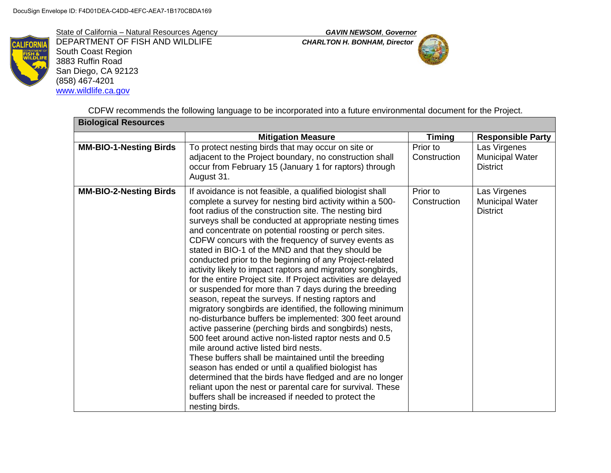State of California – Natural Resources Agency *GAVIN NEWSOM*, *Governor*



DEPARTMENT OF FISH AND WILDLIFE *CHARLTON H. BONHAM, Director* South Coast Region 3883 Ruffin Road San Diego, CA 92123 (858) 467-4201 [www.wildlife.ca.gov](http://www.wildlife.ca.gov/)



CDFW recommends the following language to be incorporated into a future environmental document for the Project.

| <b>Biological Resources</b>   |                                                                                                                                                                                                                                                                                                                                                                                                                                                                                                                                                                                                                                                                                                                                                                                                                                                                                                                                                                                                                                                                                                                                                                                                                                                                                                                                   |                          |                                                           |
|-------------------------------|-----------------------------------------------------------------------------------------------------------------------------------------------------------------------------------------------------------------------------------------------------------------------------------------------------------------------------------------------------------------------------------------------------------------------------------------------------------------------------------------------------------------------------------------------------------------------------------------------------------------------------------------------------------------------------------------------------------------------------------------------------------------------------------------------------------------------------------------------------------------------------------------------------------------------------------------------------------------------------------------------------------------------------------------------------------------------------------------------------------------------------------------------------------------------------------------------------------------------------------------------------------------------------------------------------------------------------------|--------------------------|-----------------------------------------------------------|
|                               | <b>Mitigation Measure</b>                                                                                                                                                                                                                                                                                                                                                                                                                                                                                                                                                                                                                                                                                                                                                                                                                                                                                                                                                                                                                                                                                                                                                                                                                                                                                                         | <b>Timing</b>            | <b>Responsible Party</b>                                  |
| <b>MM-BIO-1-Nesting Birds</b> | To protect nesting birds that may occur on site or<br>adjacent to the Project boundary, no construction shall<br>occur from February 15 (January 1 for raptors) through<br>August 31.                                                                                                                                                                                                                                                                                                                                                                                                                                                                                                                                                                                                                                                                                                                                                                                                                                                                                                                                                                                                                                                                                                                                             | Prior to<br>Construction | Las Virgenes<br>Municipal Water<br><b>District</b>        |
| <b>MM-BIO-2-Nesting Birds</b> | If avoidance is not feasible, a qualified biologist shall<br>complete a survey for nesting bird activity within a 500-<br>foot radius of the construction site. The nesting bird<br>surveys shall be conducted at appropriate nesting times<br>and concentrate on potential roosting or perch sites.<br>CDFW concurs with the frequency of survey events as<br>stated in BIO-1 of the MND and that they should be<br>conducted prior to the beginning of any Project-related<br>activity likely to impact raptors and migratory songbirds,<br>for the entire Project site. If Project activities are delayed<br>or suspended for more than 7 days during the breeding<br>season, repeat the surveys. If nesting raptors and<br>migratory songbirds are identified, the following minimum<br>no-disturbance buffers be implemented: 300 feet around<br>active passerine (perching birds and songbirds) nests,<br>500 feet around active non-listed raptor nests and 0.5<br>mile around active listed bird nests.<br>These buffers shall be maintained until the breeding<br>season has ended or until a qualified biologist has<br>determined that the birds have fledged and are no longer<br>reliant upon the nest or parental care for survival. These<br>buffers shall be increased if needed to protect the<br>nesting birds. | Prior to<br>Construction | Las Virgenes<br><b>Municipal Water</b><br><b>District</b> |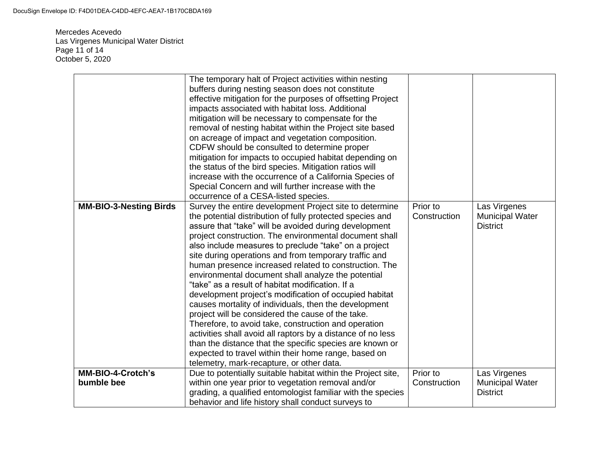Mercedes Acevedo Las Virgenes Municipal Water District Page 11 of 14 October 5, 2020

|                                 | The temporary halt of Project activities within nesting<br>buffers during nesting season does not constitute<br>effective mitigation for the purposes of offsetting Project<br>impacts associated with habitat loss. Additional<br>mitigation will be necessary to compensate for the<br>removal of nesting habitat within the Project site based<br>on acreage of impact and vegetation composition.<br>CDFW should be consulted to determine proper<br>mitigation for impacts to occupied habitat depending on<br>the status of the bird species. Mitigation ratios will<br>increase with the occurrence of a California Species of<br>Special Concern and will further increase with the<br>occurrence of a CESA-listed species.                                                                                                                                                                                                                                                          |                          |                                                           |
|---------------------------------|----------------------------------------------------------------------------------------------------------------------------------------------------------------------------------------------------------------------------------------------------------------------------------------------------------------------------------------------------------------------------------------------------------------------------------------------------------------------------------------------------------------------------------------------------------------------------------------------------------------------------------------------------------------------------------------------------------------------------------------------------------------------------------------------------------------------------------------------------------------------------------------------------------------------------------------------------------------------------------------------|--------------------------|-----------------------------------------------------------|
| <b>MM-BIO-3-Nesting Birds</b>   | Survey the entire development Project site to determine<br>the potential distribution of fully protected species and<br>assure that "take" will be avoided during development<br>project construction. The environmental document shall<br>also include measures to preclude "take" on a project<br>site during operations and from temporary traffic and<br>human presence increased related to construction. The<br>environmental document shall analyze the potential<br>"take" as a result of habitat modification. If a<br>development project's modification of occupied habitat<br>causes mortality of individuals, then the development<br>project will be considered the cause of the take.<br>Therefore, to avoid take, construction and operation<br>activities shall avoid all raptors by a distance of no less<br>than the distance that the specific species are known or<br>expected to travel within their home range, based on<br>telemetry, mark-recapture, or other data. | Prior to<br>Construction | Las Virgenes<br><b>Municipal Water</b><br><b>District</b> |
| MM-BIO-4-Crotch's<br>bumble bee | Due to potentially suitable habitat within the Project site,<br>within one year prior to vegetation removal and/or<br>grading, a qualified entomologist familiar with the species<br>behavior and life history shall conduct surveys to                                                                                                                                                                                                                                                                                                                                                                                                                                                                                                                                                                                                                                                                                                                                                      | Prior to<br>Construction | Las Virgenes<br><b>Municipal Water</b><br><b>District</b> |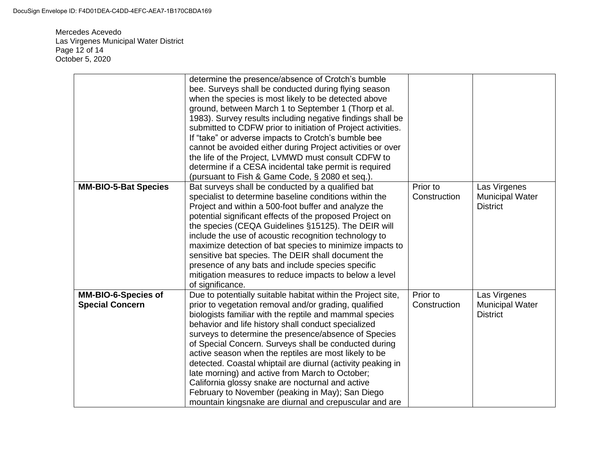Mercedes Acevedo Las Virgenes Municipal Water District Page 12 of 14 October 5, 2020

|                                                      | determine the presence/absence of Crotch's bumble<br>bee. Surveys shall be conducted during flying season<br>when the species is most likely to be detected above<br>ground, between March 1 to September 1 (Thorp et al.<br>1983). Survey results including negative findings shall be<br>submitted to CDFW prior to initiation of Project activities.<br>If "take" or adverse impacts to Crotch's bumble bee<br>cannot be avoided either during Project activities or over                                                                                                                                                                                                                          |                          |                                                           |
|------------------------------------------------------|-------------------------------------------------------------------------------------------------------------------------------------------------------------------------------------------------------------------------------------------------------------------------------------------------------------------------------------------------------------------------------------------------------------------------------------------------------------------------------------------------------------------------------------------------------------------------------------------------------------------------------------------------------------------------------------------------------|--------------------------|-----------------------------------------------------------|
|                                                      | the life of the Project, LVMWD must consult CDFW to<br>determine if a CESA incidental take permit is required                                                                                                                                                                                                                                                                                                                                                                                                                                                                                                                                                                                         |                          |                                                           |
| <b>MM-BIO-5-Bat Species</b>                          | (pursuant to Fish & Game Code, § 2080 et seq.).<br>Bat surveys shall be conducted by a qualified bat<br>specialist to determine baseline conditions within the<br>Project and within a 500-foot buffer and analyze the<br>potential significant effects of the proposed Project on<br>the species (CEQA Guidelines §15125). The DEIR will<br>include the use of acoustic recognition technology to<br>maximize detection of bat species to minimize impacts to<br>sensitive bat species. The DEIR shall document the<br>presence of any bats and include species specific<br>mitigation measures to reduce impacts to below a level<br>of significance.                                               | Prior to<br>Construction | Las Virgenes<br><b>Municipal Water</b><br><b>District</b> |
| <b>MM-BIO-6-Species of</b><br><b>Special Concern</b> | Due to potentially suitable habitat within the Project site,<br>prior to vegetation removal and/or grading, qualified<br>biologists familiar with the reptile and mammal species<br>behavior and life history shall conduct specialized<br>surveys to determine the presence/absence of Species<br>of Special Concern. Surveys shall be conducted during<br>active season when the reptiles are most likely to be<br>detected. Coastal whiptail are diurnal (activity peaking in<br>late morning) and active from March to October;<br>California glossy snake are nocturnal and active<br>February to November (peaking in May); San Diego<br>mountain kingsnake are diurnal and crepuscular and are | Prior to<br>Construction | Las Virgenes<br><b>Municipal Water</b><br><b>District</b> |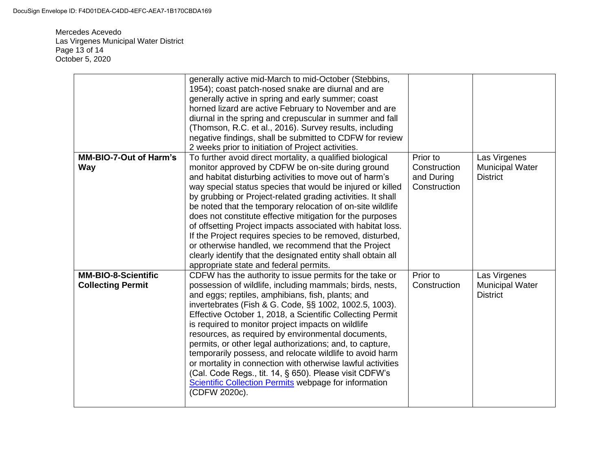Mercedes Acevedo Las Virgenes Municipal Water District Page 13 of 14 October 5, 2020

|                                                        | generally active mid-March to mid-October (Stebbins,<br>1954); coast patch-nosed snake are diurnal and are<br>generally active in spring and early summer; coast<br>horned lizard are active February to November and are<br>diurnal in the spring and crepuscular in summer and fall<br>(Thomson, R.C. et al., 2016). Survey results, including<br>negative findings, shall be submitted to CDFW for review<br>2 weeks prior to initiation of Project activities.                                                                                                                                                                                                                                                                            |                                                        |                                                           |
|--------------------------------------------------------|-----------------------------------------------------------------------------------------------------------------------------------------------------------------------------------------------------------------------------------------------------------------------------------------------------------------------------------------------------------------------------------------------------------------------------------------------------------------------------------------------------------------------------------------------------------------------------------------------------------------------------------------------------------------------------------------------------------------------------------------------|--------------------------------------------------------|-----------------------------------------------------------|
| <b>MM-BIO-7-Out of Harm's</b><br><b>Way</b>            | To further avoid direct mortality, a qualified biological<br>monitor approved by CDFW be on-site during ground<br>and habitat disturbing activities to move out of harm's<br>way special status species that would be injured or killed<br>by grubbing or Project-related grading activities. It shall<br>be noted that the temporary relocation of on-site wildlife<br>does not constitute effective mitigation for the purposes<br>of offsetting Project impacts associated with habitat loss.<br>If the Project requires species to be removed, disturbed,<br>or otherwise handled, we recommend that the Project<br>clearly identify that the designated entity shall obtain all<br>appropriate state and federal permits.                | Prior to<br>Construction<br>and During<br>Construction | Las Virgenes<br><b>Municipal Water</b><br><b>District</b> |
| <b>MM-BIO-8-Scientific</b><br><b>Collecting Permit</b> | CDFW has the authority to issue permits for the take or<br>possession of wildlife, including mammals; birds, nests,<br>and eggs; reptiles, amphibians, fish, plants; and<br>invertebrates (Fish & G. Code, §§ 1002, 1002.5, 1003).<br>Effective October 1, 2018, a Scientific Collecting Permit<br>is required to monitor project impacts on wildlife<br>resources, as required by environmental documents,<br>permits, or other legal authorizations; and, to capture,<br>temporarily possess, and relocate wildlife to avoid harm<br>or mortality in connection with otherwise lawful activities<br>(Cal. Code Regs., tit. 14, § 650). Please visit CDFW's<br><b>Scientific Collection Permits webpage for information</b><br>(CDFW 2020c). | Prior to<br>Construction                               | Las Virgenes<br><b>Municipal Water</b><br><b>District</b> |